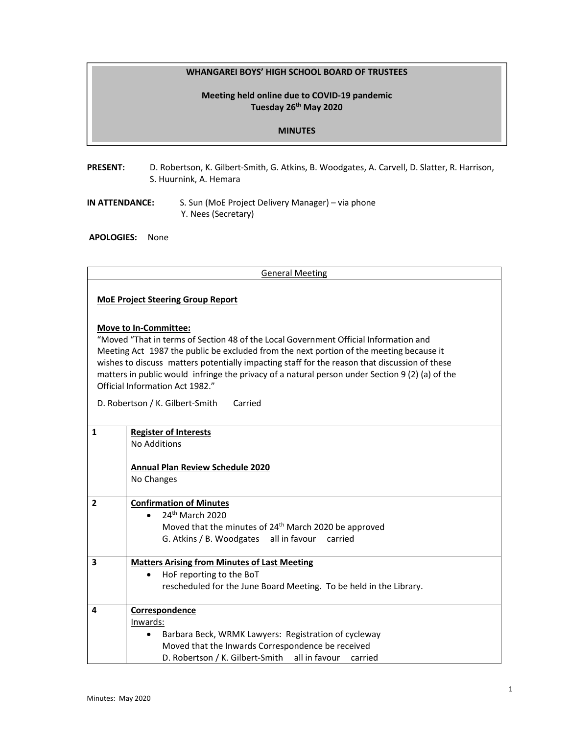## **WHANGAREI BOYS' HIGH SCHOOL BOARD OF TRUSTEES**

## **Meeting held online due to COVID‐19 pandemic Tuesday 26th May 2020**

## **MINUTES**

PRESENT: D. Robertson, K. Gilbert-Smith, G. Atkins, B. Woodgates, A. Carvell, D. Slatter, R. Harrison, S. Huurnink, A. Hemara

**IN ATTENDANCE:** S. Sun (MoE Project Delivery Manager) – via phone Y. Nees (Secretary)

**APOLOGIES:** None

|                                                                                                                                                                                                                                                                                                                                                                                                                                                                                                               | <b>General Meeting</b>                                                                                                                                                                              |  |
|---------------------------------------------------------------------------------------------------------------------------------------------------------------------------------------------------------------------------------------------------------------------------------------------------------------------------------------------------------------------------------------------------------------------------------------------------------------------------------------------------------------|-----------------------------------------------------------------------------------------------------------------------------------------------------------------------------------------------------|--|
| <b>MoE Project Steering Group Report</b><br><b>Move to In-Committee:</b><br>"Moved "That in terms of Section 48 of the Local Government Official Information and<br>Meeting Act 1987 the public be excluded from the next portion of the meeting because it<br>wishes to discuss matters potentially impacting staff for the reason that discussion of these<br>matters in public would infringe the privacy of a natural person under Section 9 (2) (a) of the<br>Official Information Act 1982."<br>Carried |                                                                                                                                                                                                     |  |
| D. Robertson / K. Gilbert-Smith                                                                                                                                                                                                                                                                                                                                                                                                                                                                               |                                                                                                                                                                                                     |  |
| $\mathbf{1}$                                                                                                                                                                                                                                                                                                                                                                                                                                                                                                  | <b>Register of Interests</b><br><b>No Additions</b><br>Annual Plan Review Schedule 2020<br>No Changes                                                                                               |  |
| $\overline{2}$                                                                                                                                                                                                                                                                                                                                                                                                                                                                                                | <b>Confirmation of Minutes</b><br>24 <sup>th</sup> March 2020<br>Moved that the minutes of 24 <sup>th</sup> March 2020 be approved<br>G. Atkins / B. Woodgates all in favour<br>carried             |  |
| 3                                                                                                                                                                                                                                                                                                                                                                                                                                                                                                             | <b>Matters Arising from Minutes of Last Meeting</b><br>HoF reporting to the BoT<br>$\bullet$<br>rescheduled for the June Board Meeting. To be held in the Library.                                  |  |
| 4                                                                                                                                                                                                                                                                                                                                                                                                                                                                                                             | Correspondence<br>Inwards:<br>Barbara Beck, WRMK Lawyers: Registration of cycleway<br>Moved that the Inwards Correspondence be received<br>D. Robertson / K. Gilbert-Smith all in favour<br>carried |  |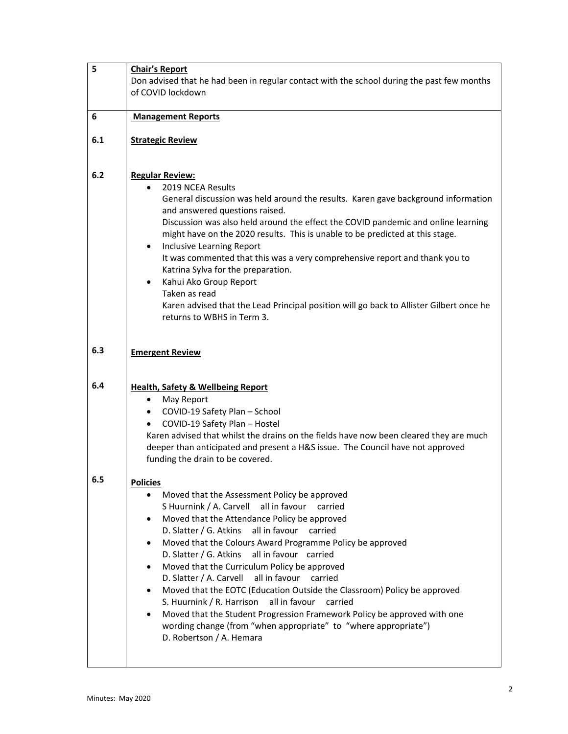|     | <b>Chair's Report</b>                                                                      |
|-----|--------------------------------------------------------------------------------------------|
|     | Don advised that he had been in regular contact with the school during the past few months |
|     | of COVID lockdown                                                                          |
|     |                                                                                            |
| 6   | <b>Management Reports</b>                                                                  |
|     |                                                                                            |
| 6.1 | <b>Strategic Review</b>                                                                    |
|     |                                                                                            |
|     |                                                                                            |
| 6.2 | <b>Regular Review:</b>                                                                     |
|     | 2019 NCEA Results<br>$\bullet$                                                             |
|     | General discussion was held around the results. Karen gave background information          |
|     | and answered questions raised.                                                             |
|     | Discussion was also held around the effect the COVID pandemic and online learning          |
|     | might have on the 2020 results. This is unable to be predicted at this stage.              |
|     | Inclusive Learning Report<br>٠                                                             |
|     | It was commented that this was a very comprehensive report and thank you to                |
|     | Katrina Sylva for the preparation.                                                         |
|     | Kahui Ako Group Report<br>$\bullet$                                                        |
|     | Taken as read                                                                              |
|     | Karen advised that the Lead Principal position will go back to Allister Gilbert once he    |
|     | returns to WBHS in Term 3.                                                                 |
|     |                                                                                            |
|     |                                                                                            |
| 6.3 | <b>Emergent Review</b>                                                                     |
|     |                                                                                            |
|     |                                                                                            |
| 6.4 | <b>Health, Safety &amp; Wellbeing Report</b>                                               |
|     | May Report<br>$\bullet$                                                                    |
|     | • COVID-19 Safety Plan - School                                                            |
|     | COVID-19 Safety Plan - Hostel<br>$\bullet$                                                 |
|     | Karen advised that whilst the drains on the fields have now been cleared they are much     |
|     | deeper than anticipated and present a H&S issue. The Council have not approved             |
|     | funding the drain to be covered.                                                           |
|     |                                                                                            |
| 6.5 | <b>Policies</b>                                                                            |
|     | Moved that the Assessment Policy be approved<br>$\bullet$                                  |
|     | S Huurnink / A. Carvell all in favour<br>carried                                           |
|     |                                                                                            |
|     |                                                                                            |
|     | Moved that the Attendance Policy be approved                                               |
|     | all in favour carried<br>D. Slatter / G. Atkins                                            |
|     | Moved that the Colours Award Programme Policy be approved<br>٠                             |
|     | all in favour carried<br>D. Slatter / G. Atkins                                            |
|     | Moved that the Curriculum Policy be approved<br>٠                                          |
|     | D. Slatter / A. Carvell all in favour carried                                              |
|     | Moved that the EOTC (Education Outside the Classroom) Policy be approved<br>٠              |
|     | all in favour<br>S. Huurnink / R. Harrison<br>carried                                      |
|     | Moved that the Student Progression Framework Policy be approved with one                   |
|     | wording change (from "when appropriate" to "where appropriate")                            |
|     | D. Robertson / A. Hemara                                                                   |